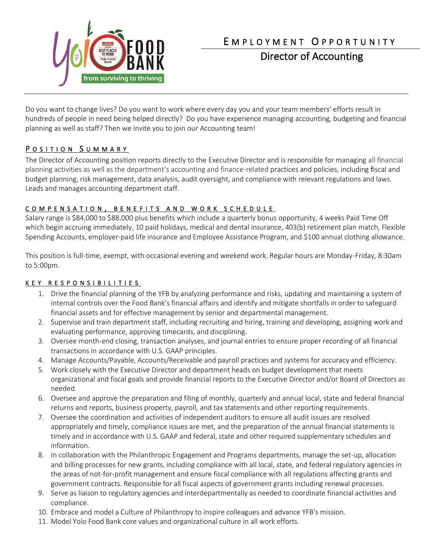

# E M P L O Y M E N T O P P O R T U N I T Y

Director of Accounting

Do you want to change lives? Do you want to work where every day you and your team members' efforts result in hundreds of people in need being helped directly? Do you have experience managing accounting, budgeting and financial planning as well as staff? Then we invite you to join our Accounting team!

# POSITION SUMMARY

The Director of Accounting position reports directly to the Executive Director and is responsible for managing all financial planning activities as well as the department's accounting and finance-related practices and policies, including [f](https://en.wikipedia.org/wiki/Financial_plan)[iscal](https://en.wikipedia.org/wiki/Financial_plan) [and](https://en.wikipedia.org/wiki/Financial_plan)  [budget planning,](https://en.wikipedia.org/wiki/Financial_plan) risk management, data analysis, audit oversight, and compliance with relevant regulations and laws. Leads and manages accounting department staff.

### COMPENSATION, BENEFITS AND WORK SCHEDULE

Salary range is \$84,000 to \$88,000 plus benefits which include a quarterly bonus opportunity, 4 weeks Paid Time Off which begin accruing immediately, 10 paid holidays, medical and dental insurance, 403(b) retirement plan match, Flexible Spending Accounts, employer-paid life insurance and Employee Assistance Program, and \$100 annual clothing allowance.

This position is full-time, exempt, with occasional evening and weekend work. Regular hours are Monday-Friday, 8:30am to 5:00pm.

## K E Y R E S P O N S I B I L I T I E S

- 1. Drive the financial planning of the YFB by analyzing performance and risks, updating and maintaining a system of internal controls over the Food Bank's financial affairs and identify and mitigate shortfalls in order to safeguard financial assets and for effective management by senior and departmental management.
- 2. Supervise and train department staff, including recruiting and hiring, training and developing, assigning work and evaluating performance, approving timecards, and disciplining.
- 3. Oversee month-end closing, transaction analyses, and journal entries to ensure proper recording of all financial transactions in accordance with U.S. GAAP principles.
- 4. Manage Accounts/Payable, Accounts/Receivable and payroll practices and systems for accuracy and efficiency.
- 5. Work closely with the Executive Director and department heads on budget development that meets organizational and fiscal goals and provide financial reports to the Executive Director and/or Board of Directors as needed.
- 6. Oversee and approve the preparation and filing of monthly, quarterly and annual local, state and federal financial returns and reports, business property, payroll, and tax statements and other reporting requirements.
- 7. Oversee the coordination and activities of independent auditors to ensure all audit issues are resolved appropriately and timely, compliance issues are met, and the preparation of the annual financial statements is timely and in accordance with U.S. GAAP and federal, state and other required supplementary schedules and information.
- 8. In collaboration with the Philanthropic Engagement and Programs departments, manage the set-up, allocation and billing processes for new grants, including compliance with all local, state, and federal regulatory agencies in the areas of not-for-profit management and ensure fiscal compliance with all regulations affecting grants and government contracts. Responsible for all fiscal aspects of government grants including renewal processes.
- 9. Serve as liaison to regulatory agencies and interdepartmentally as needed to coordinate financial activities and compliance.
- 10. Embrace and model a Culture of Philanthropy to inspire colleagues and advance YFB's mission.
- 11. Model Yolo Food Bank core values and organizational culture in all work efforts.